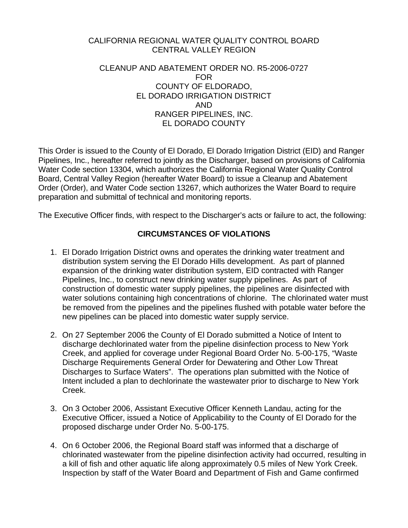#### CALIFORNIA REGIONAL WATER QUALITY CONTROL BOARD CENTRAL VALLEY REGION

#### CLEANUP AND ABATEMENT ORDER NO. R5-2006-0727 FOR COUNTY OF ELDORADO, EL DORADO IRRIGATION DISTRICT AND RANGER PIPELINES, INC. EL DORADO COUNTY

This Order is issued to the County of El Dorado, El Dorado Irrigation District (EID) and Ranger Pipelines, Inc., hereafter referred to jointly as the Discharger, based on provisions of California Water Code section 13304, which authorizes the California Regional Water Quality Control Board, Central Valley Region (hereafter Water Board) to issue a Cleanup and Abatement Order (Order), and Water Code section 13267, which authorizes the Water Board to require preparation and submittal of technical and monitoring reports.

The Executive Officer finds, with respect to the Discharger's acts or failure to act, the following:

# **CIRCUMSTANCES OF VIOLATIONS**

- 1. El Dorado Irrigation District owns and operates the drinking water treatment and distribution system serving the El Dorado Hills development. As part of planned expansion of the drinking water distribution system, EID contracted with Ranger Pipelines, Inc., to construct new drinking water supply pipelines. As part of construction of domestic water supply pipelines, the pipelines are disinfected with water solutions containing high concentrations of chlorine. The chlorinated water must be removed from the pipelines and the pipelines flushed with potable water before the new pipelines can be placed into domestic water supply service.
- 2. On 27 September 2006 the County of El Dorado submitted a Notice of Intent to discharge dechlorinated water from the pipeline disinfection process to New York Creek, and applied for coverage under Regional Board Order No. 5-00-175, "Waste Discharge Requirements General Order for Dewatering and Other Low Threat Discharges to Surface Waters". The operations plan submitted with the Notice of Intent included a plan to dechlorinate the wastewater prior to discharge to New York Creek.
- 3. On 3 October 2006, Assistant Executive Officer Kenneth Landau, acting for the Executive Officer, issued a Notice of Applicability to the County of El Dorado for the proposed discharge under Order No. 5-00-175.
- 4. On 6 October 2006, the Regional Board staff was informed that a discharge of chlorinated wastewater from the pipeline disinfection activity had occurred, resulting in a kill of fish and other aquatic life along approximately 0.5 miles of New York Creek. Inspection by staff of the Water Board and Department of Fish and Game confirmed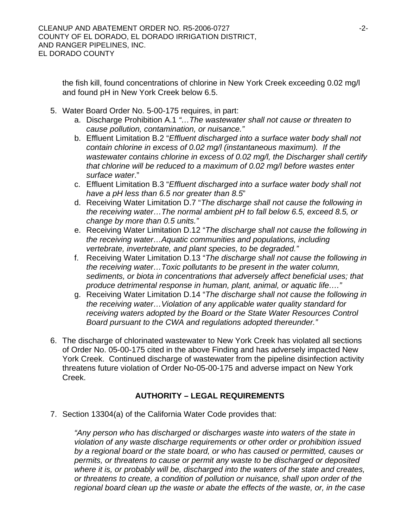the fish kill, found concentrations of chlorine in New York Creek exceeding 0.02 mg/l and found pH in New York Creek below 6.5.

- 5. Water Board Order No. 5-00-175 requires, in part:
	- a. Discharge Prohibition A.1 *"…The wastewater shall not cause or threaten to cause pollution, contamination, or nuisance."*
	- b. Effluent Limitation B.2 "*Effluent discharged into a surface water body shall not contain chlorine in excess of 0.02 mg/l (instantaneous maximum). If the wastewater contains chlorine in excess of 0.02 mg/l, the Discharger shall certify that chlorine will be reduced to a maximum of 0.02 mg/l before wastes enter surface water*."
	- c. Effluent Limitation B.3 "*Effluent discharged into a surface water body shall not have a pH less than 6.5 nor greater than 8.5*"
	- d. Receiving Water Limitation D.7 "*The discharge shall not cause the following in the receiving water…The normal ambient pH to fall below 6.5, exceed 8.5, or change by more than 0.5 units."*
	- e. Receiving Water Limitation D.12 "*The discharge shall not cause the following in the receiving water…Aquatic communities and populations, including vertebrate, invertebrate, and plant species, to be degraded."*
	- f. Receiving Water Limitation D.13 "*The discharge shall not cause the following in the receiving water…Toxic pollutants to be present in the water column, sediments, or biota in concentrations that adversely affect beneficial uses; that produce detrimental response in human, plant, animal, or aquatic life…."*
	- g. Receiving Water Limitation D.14 "*The discharge shall not cause the following in the receiving water…Violation of any applicable water quality standard for receiving waters adopted by the Board or the State Water Resources Control Board pursuant to the CWA and regulations adopted thereunder."*
- 6. The discharge of chlorinated wastewater to New York Creek has violated all sections of Order No. 05-00-175 cited in the above Finding and has adversely impacted New York Creek. Continued discharge of wastewater from the pipeline disinfection activity threatens future violation of Order No-05-00-175 and adverse impact on New York Creek.

# **AUTHORITY – LEGAL REQUIREMENTS**

7. Section 13304(a) of the California Water Code provides that:

*"Any person who has discharged or discharges waste into waters of the state in violation of any waste discharge requirements or other order or prohibition issued by a regional board or the state board, or who has caused or permitted, causes or permits, or threatens to cause or permit any waste to be discharged or deposited where it is, or probably will be, discharged into the waters of the state and creates, or threatens to create, a condition of pollution or nuisance, shall upon order of the regional board clean up the waste or abate the effects of the waste, or, in the case*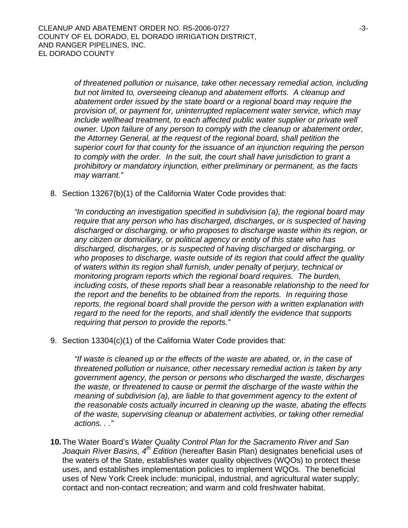*of threatened pollution or nuisance, take other necessary remedial action, including but not limited to, overseeing cleanup and abatement efforts. A cleanup and abatement order issued by the state board or a regional board may require the provision of, or payment for, uninterrupted replacement water service, which may include wellhead treatment, to each affected public water supplier or private well owner. Upon failure of any person to comply with the cleanup or abatement order, the Attorney General, at the request of the regional board, shall petition the superior court for that county for the issuance of an injunction requiring the person*  to comply with the order. In the suit, the court shall have jurisdiction to grant a *prohibitory or mandatory injunction, either preliminary or permanent, as the facts may warrant."* 

8. Section 13267(b)(1) of the California Water Code provides that:

*"In conducting an investigation specified in subdivision (a), the regional board may require that any person who has discharged, discharges, or is suspected of having discharged or discharging, or who proposes to discharge waste within its region, or any citizen or domiciliary, or political agency or entity of this state who has discharged, discharges, or is suspected of having discharged or discharging, or who proposes to discharge, waste outside of its region that could affect the quality of waters within its region shall furnish, under penalty of perjury, technical or monitoring program reports which the regional board requires. The burden, including costs, of these reports shall bear a reasonable relationship to the need for the report and the benefits to be obtained from the reports. In requiring those reports, the regional board shall provide the person with a written explanation with regard to the need for the reports, and shall identify the evidence that supports requiring that person to provide the reports."* 

9. Section 13304(c)(1) of the California Water Code provides that:

*"If waste is cleaned up or the effects of the waste are abated, or, in the case of threatened pollution or nuisance, other necessary remedial action is taken by any government agency, the person or persons who discharged the waste, discharges the waste, or threatened to cause or permit the discharge of the waste within the meaning of subdivision (a), are liable to that government agency to the extent of the reasonable costs actually incurred in cleaning up the waste, abating the effects of the waste, supervising cleanup or abatement activities, or taking other remedial actions. . ."* 

**10.** The Water Board's *Water Quality Control Plan for the Sacramento River and San Joaquin River Basins, 4th Edition* (hereafter Basin Plan) designates beneficial uses of the waters of the State, establishes water quality objectives (WQOs) to protect these uses, and establishes implementation policies to implement WQOs. The beneficial uses of New York Creek include: municipal, industrial, and agricultural water supply; contact and non-contact recreation; and warm and cold freshwater habitat.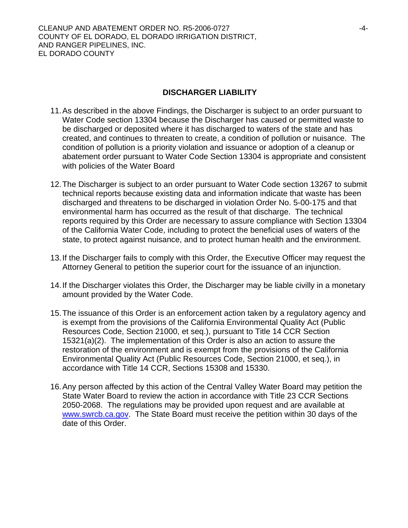### **DISCHARGER LIABILITY**

- 11. As described in the above Findings, the Discharger is subject to an order pursuant to Water Code section 13304 because the Discharger has caused or permitted waste to be discharged or deposited where it has discharged to waters of the state and has created, and continues to threaten to create, a condition of pollution or nuisance. The condition of pollution is a priority violation and issuance or adoption of a cleanup or abatement order pursuant to Water Code Section 13304 is appropriate and consistent with policies of the Water Board
- 12. The Discharger is subject to an order pursuant to Water Code section 13267 to submit technical reports because existing data and information indicate that waste has been discharged and threatens to be discharged in violation Order No. 5-00-175 and that environmental harm has occurred as the result of that discharge. The technical reports required by this Order are necessary to assure compliance with Section 13304 of the California Water Code, including to protect the beneficial uses of waters of the state, to protect against nuisance, and to protect human health and the environment.
- 13. If the Discharger fails to comply with this Order, the Executive Officer may request the Attorney General to petition the superior court for the issuance of an injunction.
- 14. If the Discharger violates this Order, the Discharger may be liable civilly in a monetary amount provided by the Water Code.
- 15. The issuance of this Order is an enforcement action taken by a regulatory agency and is exempt from the provisions of the California Environmental Quality Act (Public Resources Code, Section 21000, et seq.), pursuant to Title 14 CCR Section 15321(a)(2). The implementation of this Order is also an action to assure the restoration of the environment and is exempt from the provisions of the California Environmental Quality Act (Public Resources Code, Section 21000, et seq.), in accordance with Title 14 CCR, Sections 15308 and 15330.
- 16. Any person affected by this action of the Central Valley Water Board may petition the State Water Board to review the action in accordance with Title 23 CCR Sections 2050-2068. The regulations may be provided upon request and are available at www.swrcb.ca.gov. The State Board must receive the petition within 30 days of the date of this Order.